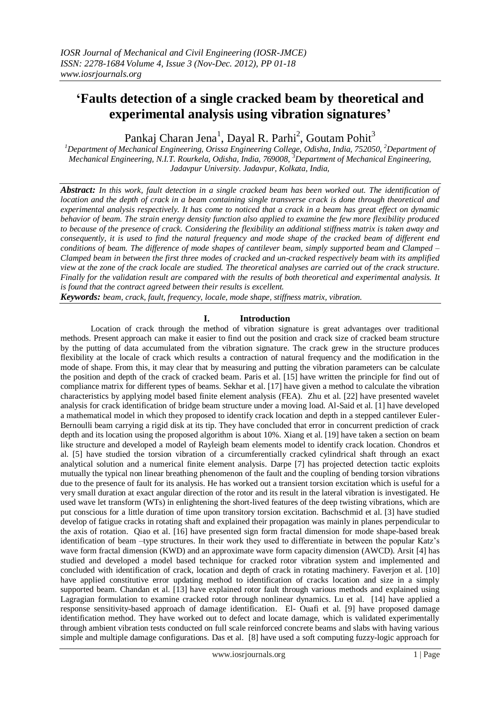# **'Faults detection of a single cracked beam by theoretical and experimental analysis using vibration signatures'**

Pankaj Charan Jena $^1$ , Dayal R. Parhi $^2$ , Goutam Pohit $^3$ 

*<sup>1</sup>Department of Mechanical Engineering, Orissa Engineering College, Odisha, India, 752050, <sup>2</sup>Department of Mechanical Engineering, N.I.T. Rourkela, Odisha, India, 769008, <sup>3</sup>Department of Mechanical Engineering, Jadavpur University. Jadavpur, Kolkata, India,* 

*Abstract: In this work, fault detection in a single cracked beam has been worked out. The identification of location and the depth of crack in a beam containing single transverse crack is done through theoretical and experimental analysis respectively. It has come to noticed that a crack in a beam has great effect on dynamic behavior of beam. The strain energy density function also applied to examine the few more flexibility produced to because of the presence of crack. Considering the flexibility an additional stiffness matrix is taken away and consequently, it is used to find the natural frequency and mode shape of the cracked beam of different end conditions of beam. The difference of mode shapes of cantilever beam, simply supported beam and Clamped – Clamped beam in between the first three modes of cracked and un-cracked respectively beam with its amplified view at the zone of the crack locale are studied. The theoretical analyses are carried out of the crack structure. Finally for the validation result are compared with the results of both theoretical and experimental analysis. It is found that the contract agreed between their results is excellent.*

*Keywords: beam, crack, fault, frequency, locale, mode shape, stiffness matrix, vibration.*

# **I. Introduction**

Location of crack through the method of vibration signature is great advantages over traditional methods. Present approach can make it easier to find out the position and crack size of cracked beam structure by the putting of data accumulated from the vibration signature. The crack grew in the structure produces flexibility at the locale of crack which results a contraction of natural frequency and the modification in the mode of shape. From this, it may clear that by measuring and putting the vibration parameters can be calculate the position and depth of the crack of cracked beam. Paris et al. [15] have written the principle for find out of compliance matrix for different types of beams. Sekhar et al. [17] have given a method to calculate the vibration characteristics by applying model based finite element analysis (FEA). Zhu et al. [22] have presented wavelet analysis for crack identification of bridge beam structure under a moving load. Al-Said et al. [1] have developed a mathematical model in which they proposed to identify crack location and depth in a stepped cantilever Euler-Bernoulli beam carrying a rigid disk at its tip. They have concluded that error in concurrent prediction of crack depth and its location using the proposed algorithm is about 10%. Xiang et al. [19] have taken a section on beam like structure and developed a model of Rayleigh beam elements model to identify crack location. Chondros et al. [5] have studied the torsion vibration of a circumferentially cracked cylindrical shaft through an exact analytical solution and a numerical finite element analysis. Darpe [7] has projected detection tactic exploits mutually the typical non linear breathing phenomenon of the fault and the coupling of bending torsion vibrations due to the presence of fault for its analysis. He has worked out a transient torsion excitation which is useful for a very small duration at exact angular direction of the rotor and its result in the lateral vibration is investigated. He used wave let transform (WTs) in enlightening the short-lived features of the deep twisting vibrations, which are put conscious for a little duration of time upon transitory torsion excitation. Bachschmid et al. [3] have studied develop of fatigue cracks in rotating shaft and explained their propagation was mainly in planes perpendicular to the axis of rotation. Qiao et al. [16] have presented sign form fractal dimension for mode shape-based break identification of beam –type structures. In their work they used to differentiate in between the popular Katz's wave form fractal dimension (KWD) and an approximate wave form capacity dimension (AWCD). Arsit [4] has studied and developed a model based technique for cracked rotor vibration system and implemented and concluded with identification of crack, location and depth of crack in rotating machinery. Faverjon et al. [10] have applied constitutive error updating method to identification of cracks location and size in a simply supported beam. Chandan et al. [13] have explained rotor fault through various methods and explained using Lagragian formulation to examine cracked rotor through nonlinear dynamics. Lu et al. [14] have applied a response sensitivity-based approach of damage identification. El- Ouafi et al. [9] have proposed damage identification method. They have worked out to defect and locate damage, which is validated experimentally through ambient vibration tests conducted on full scale reinforced concrete beams and slabs with having various simple and multiple damage configurations. Das et al. [8] have used a soft computing fuzzy-logic approach for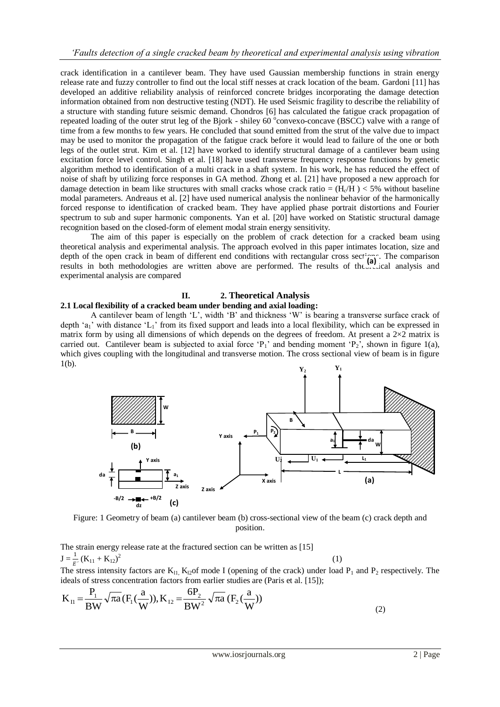crack identification in a cantilever beam. They have used Gaussian membership functions in strain energy release rate and fuzzy controller to find out the local stiff nesses at crack location of the beam. Gardoni [11] has developed an additive reliability analysis of reinforced concrete bridges incorporating the damage detection information obtained from non destructive testing (NDT). He used Seismic fragility to describe the reliability of a structure with standing future seismic demand. Chondros [6] has calculated the fatigue crack propagation of repeated loading of the outer strut leg of the Bjork - shiley 60 °convexo-concave (BSCC) valve with a range of time from a few months to few years. He concluded that sound emitted from the strut of the valve due to impact may be used to monitor the propagation of the fatigue crack before it would lead to failure of the one or both legs of the outlet strut. Kim et al. [12] have worked to identify structural damage of a cantilever beam using excitation force level control. Singh et al. [18] have used transverse frequency response functions by genetic algorithm method to identification of a multi crack in a shaft system. In his work, he has reduced the effect of noise of shaft by utilizing force responses in GA method. Zhong et al. [21] have proposed a new approach for damage detection in beam like structures with small cracks whose crack ratio =  $(H_c/H)$  < 5% without baseline modal parameters. Andreaus et al. [2] have used numerical analysis the nonlinear behavior of the harmonically forced response to identification of cracked beam. They have applied phase portrait distortions and Fourier spectrum to sub and super harmonic components. Yan et al. [20] have worked on Statistic structural damage recognition based on the closed-form of element modal strain energy sensitivity.

The aim of this paper is especially on the problem of crack detection for a cracked beam using theoretical analysis and experimental analysis. The approach evolved in this paper intimates location, size and depth of the open crack in beam of different end conditions with rectangular cross sections. The comparison results in both methodologies are written above are performed. The results of the set (a) analysis and results in both methodologies are written above are performed. The results of the set ical analysis and experimental analysis are compared

# **II. 2. Theoretical Analysis**

#### **2.1 Local flexibility of a cracked beam under bending and axial loading:**

A cantilever beam of length 'L', width 'B' and thickness 'W' is bearing a transverse surface crack of depth 'a<sub>1</sub>' with distance 'L<sub>1</sub>' from its fixed support and leads into a local flexibility, which can be expressed in matrix form by using all dimensions of which depends on the degrees of freedom. At present a  $2\times2$  matrix is carried out. Cantilever beam is subjected to axial force 'P<sub>1</sub>' and bending moment 'P<sub>2</sub>', shown in figure 1(a), which gives coupling with the longitudinal and transverse motion. The cross sectional view of beam is in figure  $1(b)$ .



Figure: 1 Geometry of beam (a) cantilever beam (b) cross-sectional view of the beam (c) crack depth and position.

The strain energy release rate at the fractured section can be written as [15]  $J = \frac{1}{E} (K_{11} + K_{12})$  $2^{2}$  (1) The stress intensity factors are  $K_{11}$ ,  $K_{12}$  of mode I (opening of the crack) under load  $P_1$  and  $P_2$  respectively. The ideals of stress concentration factors from earlier studies are (Paris et al. [15]);

$$
K_{II} = \frac{P_1}{BW} \sqrt{\pi a} (F_1(\frac{a}{W})), K_{I2} = \frac{6P_2}{BW^2} \sqrt{\pi a} (F_2(\frac{a}{W}))
$$
\n(2)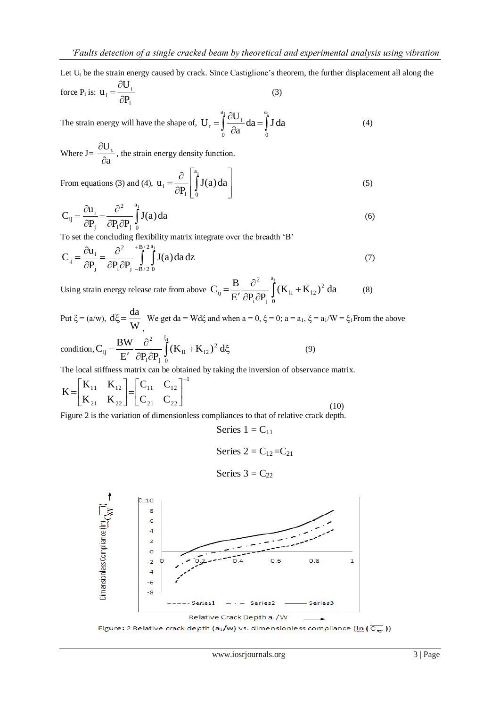Let  $U_t$  be the strain energy caused by crack. Since Castiglione's theorem, the further displacement all along the U  $\partial$ 

force P<sub>i</sub> is: 
$$
u_i = \frac{\partial U_t}{\partial P_i}
$$
 (3)

The strain energy will have the shape of,  $U_t = \int_{0}^{1} \frac{\partial U_t}{\partial a} da = \int_{0}^{1}$  $\widehat{o}$  $=\int_{0}^{a_1} \frac{\partial U_t}{\partial a} da = \int_{0}^{a_1}$  $\mathbf{0}$ a 0  $t = \int_{0}^{1} \frac{\partial \mathbf{C} \cdot \mathbf{C}}{\partial \mathbf{a}} d\mathbf{a} = \int_{0}^{1} \mathbf{J} d\mathbf{a}$  $U_t = \int_0^{a_1} \frac{\partial U}{\partial x}$ (4)

Where J*=*  a  $U_{t}$  $\partial$  $\frac{\partial U_t}{\partial t}$ , the strain energy density function.

From equations (3) and (4), 
$$
u_i = \frac{\partial}{\partial P_i} \left[ \int_0^{a_i} J(a) da \right]
$$
 (5)

$$
C_{ij} = \frac{\partial u_i}{\partial P_j} = \frac{\partial^2}{\partial P_i \partial P_j} \int_0^{a_1} J(a) da
$$
 (6)

To set the concluding flexibility matrix integrate over the breadth 'B'

$$
C_{ij} = \frac{\partial u_i}{\partial P_j} = \frac{\partial^2}{\partial P_i \partial P_j} \int_{-B/2}^{+B/2} \int_{0}^{a_1} J(a) da dz
$$
 (7)

Using strain energy release rate from above  $C_{ij} = \frac{B}{F'} \frac{\partial}{\partial P \partial P} \int (K_{11} +$  $\partial P_i \partial$  $\partial$  $\overline{\phantom{a}}$  $=\frac{B}{\sqrt{1-\frac{\partial^2}{\partial x^2}}}$  $\mathbf{0}$ 2  $_{11}$  +  $\mathbf{I}_{2}$  $i^{\mathbf{U1}}$  j 2  $\epsilon_{ij} = \frac{\mathbf{B}}{\mathbf{E}'} \frac{\partial}{\partial \mathbf{P}_i \partial \mathbf{P}_i} \int_{0}^{1} (\mathbf{K}_{11} + \mathbf{K}_{12})^2 d\mathbf{a}$  $C_{ii} = \frac{B}{B}$ (8)

Put  $\xi$  = (a/w),  $d\xi$  =  $\frac{du}{W}$  $d\xi = \frac{da}{dt}$ , We get da = Wd $\xi$  and when a = 0,  $\xi$  = 0; a = a<sub>1</sub>,  $\xi$  = a<sub>1</sub>/W =  $\xi$ <sub>1</sub>From the above ξ  $\partial^2$ 1 2

condition, 
$$
C_{ij} = \frac{BW}{E'} \frac{\partial^2}{\partial P_i \partial P_j} \int_0^{S_1} (K_{11} + K_{12})^2 d\xi
$$
 (9)

The local stiffness matrix can be obtained by taking the inversion of observance matrix.

$$
K = \begin{bmatrix} K_{11} & K_{12} \\ K_{21} & K_{22} \end{bmatrix} = \begin{bmatrix} C_{11} & C_{12} \\ C_{21} & C_{22} \end{bmatrix}^{-1}
$$
 (10)

Figure 2 is the variation of dimensionless compliances to that of relative crack depth.

Series 
$$
1 = C_{11}
$$

$$
Series 2 = C_{12} = C_{21}
$$

Series 
$$
3 = C_{22}
$$



Figure: 2 Relative crack depth (a<sub>1</sub>/w) vs. dimensionless compliance ( $\ln$  ( $\overline{C_{xy}}$ ))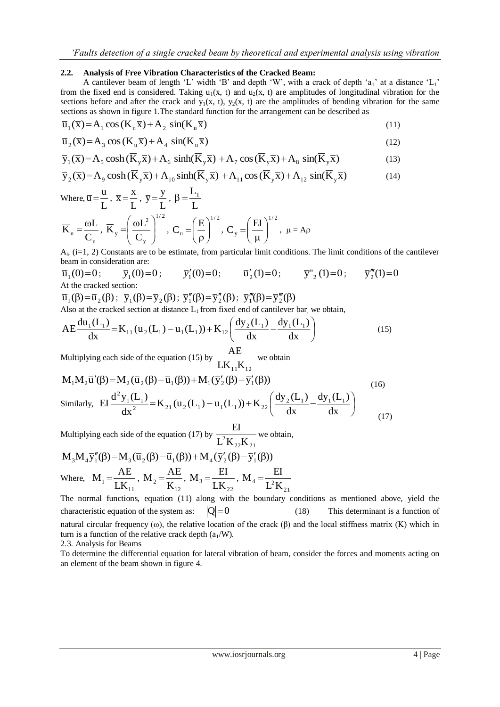## **2.2. Analysis of Free Vibration Characteristics of the Cracked Beam:**

A cantilever beam of length 'L' width 'B' and depth 'W', with a crack of depth 'a<sub>1</sub>' at a distance 'L<sub>1</sub>' from the fixed end is considered. Taking  $u_1(x, t)$  and  $u_2(x, t)$  are amplitudes of longitudinal vibration for the sections before and after the crack and  $y_1(x, t)$ ,  $y_2(x, t)$  are the amplitudes of bending vibration for the same sections as shown in figure 1.The standard function for the arrangement can be described as

$$
\overline{u}_1(\overline{x}) = A_1 \cos(\overline{K}_u \overline{x}) + A_2 \sin(\overline{K}_u \overline{x})
$$
\n(11)

$$
\overline{\mathbf{u}}_2(\overline{\mathbf{x}}) = \mathbf{A}_3 \cos(\overline{\mathbf{K}}_u \overline{\mathbf{x}}) + \mathbf{A}_4 \sin(\overline{\mathbf{K}}_u \overline{\mathbf{x}})
$$
\n(12)

$$
\overline{y}_1(\overline{x}) = A_5 \cosh(\overline{K}_y \overline{x}) + A_6 \sinh(\overline{K}_y \overline{x}) + A_7 \cos(\overline{K}_y \overline{x}) + A_8 \sin(\overline{K}_y \overline{x})
$$
(13)

$$
\overline{y}_1(x) = A_5 \cosh(\mathbf{K}_y x) + A_6 \sinh(\mathbf{K}_y x) + A_7 \cos(\mathbf{K}_y x) + A_8 \sin(\mathbf{K}_y x)
$$
\n
$$
\overline{y}_2(\overline{x}) = A_9 \cosh(\overline{\mathbf{K}}_y \overline{x}) + A_{10} \sinh(\overline{\mathbf{K}}_y \overline{x}) + A_{11} \cos(\overline{\mathbf{K}}_y \overline{x}) + A_{12} \sin(\overline{\mathbf{K}}_y \overline{x})
$$
\n(14)

Where, 
$$
\overline{u} = \frac{u}{L}
$$
,  $\overline{x} = \frac{x}{L}$ ,  $\overline{y} = \frac{y}{L}$ ,  $\beta = \frac{L_1}{L}$ 

\n
$$
\overline{K}_u = \frac{\omega L}{C_u}, \ \overline{K}_y = \left(\frac{\omega L^2}{C_y}\right)^{1/2}, \ C_u = \left(\frac{E}{\rho}\right)^{1/2}, \ C_y = \left(\frac{EI}{\mu}\right)^{1/2}, \ \mu = A\rho
$$

Ai , (i=1, 2) Constants are to be estimate, from particular limit conditions. The limit conditions of the cantilever beam in consideration are:

$$
\overline{u}_1(0)=0;
$$
  $\overline{y}_1(0)=0;$   $\overline{y}_1'(0)=0;$   $\overline{u}_2'(1)=0;$   $\overline{y}_2''(1)=0;$   $\overline{y}_2'''(1)=0$   
At the cracked section:

 $\overline{u}_1(\beta) = \overline{u}_2(\beta)$ ;  $\overline{y}_1(\beta) = \overline{y}_2(\beta)$ ;  $\overline{y}_1''(\beta) = \overline{y}_2''(\beta)$ ;  $\overline{y}_1'''(\beta) = \overline{y}_2'''(\beta)$ 

Also at the cracked section at distance  $L_1$  from fixed end of cantilever bar, we obtain,

$$
AE \frac{du_1(L_1)}{dx} = K_{11}(u_2(L_1) - u_1(L_1)) + K_{12}\left(\frac{dy_2(L_1)}{dx} - \frac{dy_1(L_1)}{dx}\right)
$$
(15)

Multiplying each side of the equation (15) by  $\frac{1}{LK_{11}K_{12}}$  $\frac{AE}{\sqrt{1-e^{2}}}$  we obtain

$$
M_1 M_2 \overline{u}'(\beta) = M_2 (\overline{u}_2(\beta) - \overline{u}_1(\beta)) + M_1 (\overline{y}'_2(\beta) - \overline{y}'_1(\beta))
$$
\n
$$
Similarly, \quad EI \frac{d^2 y_1(L_1)}{dx^2} = K_{21} (u_2(L_1) - u_1(L_1)) + K_{22} \left( \frac{dy_2(L_1)}{dx} - \frac{dy_1(L_1)}{dx} \right)
$$
\n(16)

Multiplying each side of the equation (17) by  $\mathrm{L}^{2}\mathrm{K}_{22}\mathrm{K}_{21}$  $\frac{EI}{1}$  we obtain,

$$
M_{3}M_{4}\overline{y}_{1}''(\beta) = M_{3}(\overline{u}_{2}(\beta) - \overline{u}_{1}(\beta)) + M_{4}(\overline{y}_{2}'(\beta) - \overline{y}_{1}'(\beta))
$$
  
where,  $M_{1} = \frac{AE}{LK_{11}}$ ,  $M_{2} = \frac{AE}{K_{12}}$ ,  $M_{3} = \frac{EI}{LK_{22}}$ ,  $M_{4} = \frac{EI}{L^{2}K_{21}}$ 

The normal functions, equation (11) along with the boundary conditions as mentioned above, yield the characteristic equation of the system as:  $|Q| = 0$  (18) This determinant is a function of natural circular frequency (ω), the relative location of the crack (β) and the local stiffness matrix (K) which in turn is a function of the relative crack depth  $(a_1/W)$ .

2.3. Analysis for Beams

To determine the differential equation for lateral vibration of beam, consider the forces and moments acting on an element of the beam shown in figure 4.

(17)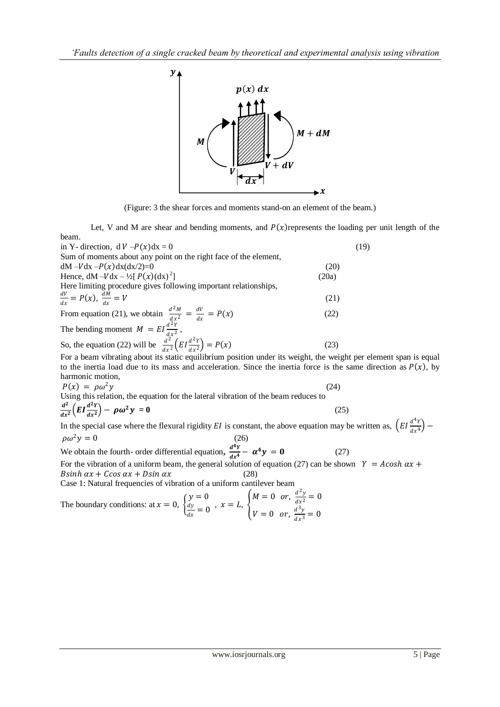

(Figure: 3 the shear forces and moments stand-on an element of the beam.)

Let, V and M are shear and bending moments, and  $P(x)$  represents the loading per unit length of the beam.

| in Y- direction, $dV - P(x)dx = 0$                                                                                               | (19)  |
|----------------------------------------------------------------------------------------------------------------------------------|-------|
| Sum of moments about any point on the right face of the element,                                                                 |       |
| $dM - Vdx - P(x)dx(dx/2)=0$                                                                                                      | (20)  |
| Hence, $dM - Vdx - \frac{1}{2}[P(x)(dx)^2]$                                                                                      | (20a) |
| Here limiting procedure gives following important relationships,                                                                 |       |
| $\frac{dV}{dx} = P(x), \frac{dM}{dx} = V$                                                                                        | (21)  |
| From equation (21), we obtain $\frac{d^2M}{dx^2} = \frac{dV}{dx} = P(x)$<br>The bending moment $M = EI \frac{d^2Y}{dx^2}$ ,      | (22)  |
|                                                                                                                                  |       |
| So, the equation (22) will be $\frac{d^{22}}{dx^{2}}\left(EI\frac{d^{2}Y}{dx^{2}}\right) = P(x)$                                 | (23)  |
| For a beam vibrating about its static equilibrium position under its weight, the weight per element span is equal                |       |
| to the inertia load due to its mass and acceleration. Since the inertia force is the same direction as $P(x)$ , by               |       |
| harmonic motion,                                                                                                                 |       |
| $P(x) = \rho \omega^2 y$                                                                                                         | (24)  |
| Using this relation, the equation for the lateral vibration of the beam reduces to                                               |       |
| $\frac{d^2}{dx^2}\left(EI\frac{d^2Y}{dx^2}\right) - \rho\omega^2y = 0$                                                           | (25)  |
| In the special case where the flexural rigidity EI is constant, the above equation may be written as, $(EI \frac{d^4Y}{dx^4})$ – |       |
| $\rho \omega^2 y = 0$<br>(26)                                                                                                    |       |

We obtain the fourth- order differential equation,  $\frac{d^4Y}{dt^4}$  $\frac{d^2Y}{dx^4} - \alpha^4 y = 0$  (27) For the vibration of a uniform beam, the general solution of equation (27) can be shown  $Y = Acosh \alpha x +$ 

 $B\sinh \alpha x + C\cos \alpha x + D\sin \alpha x$  (28) Case 1: Natural frequencies of vibration of a uniform cantilever beam

The boundary conditions: at  $x = 0, \}$  $y = 0$ dy  $\frac{dy}{dx} = 0$ ,  $x = L$ ,  $\left\{\right.$  $M = 0$  or,  $\frac{d^2y}{dx^2}$  $\frac{d^2y}{dx^2} = 0$  $V = 0$  or,  $\frac{d^3y}{dx^3}$  $\frac{d^2y}{dx^3} = 0$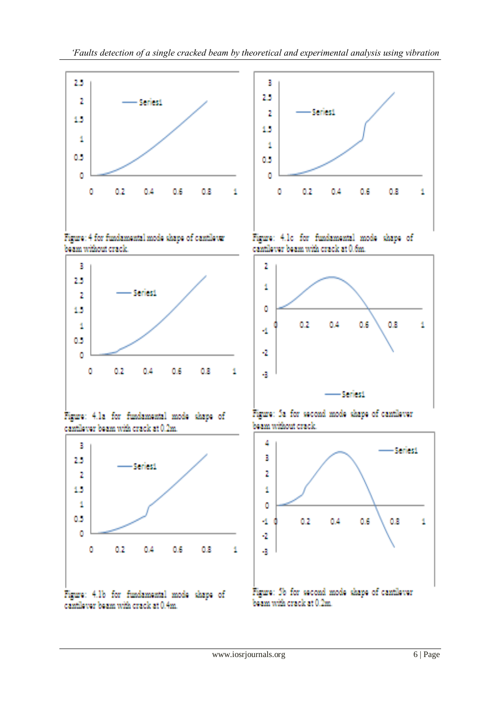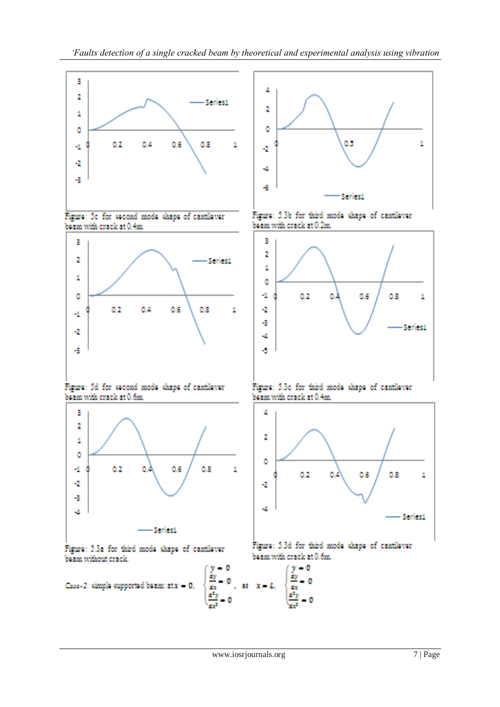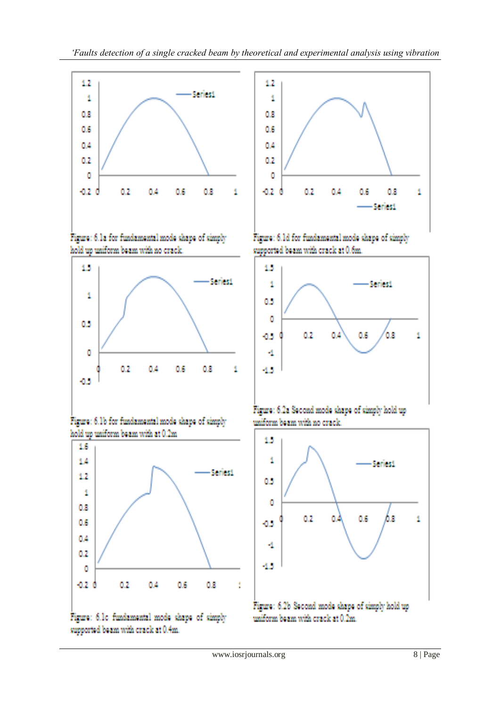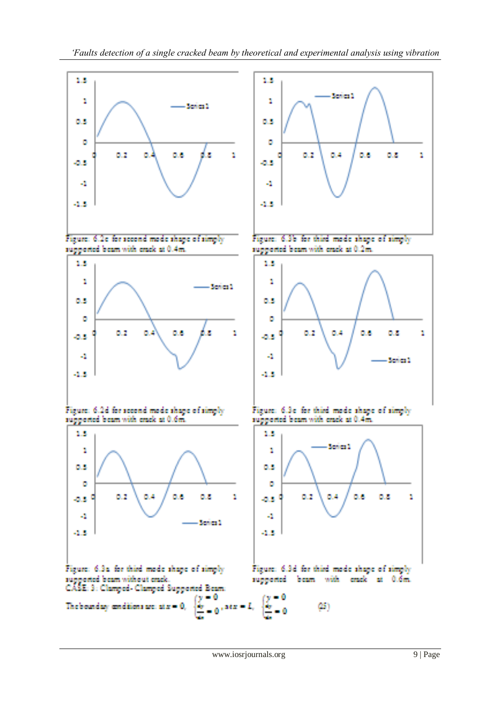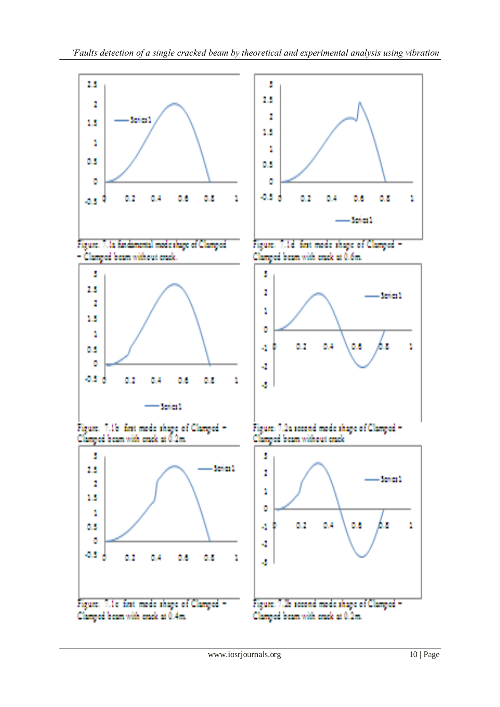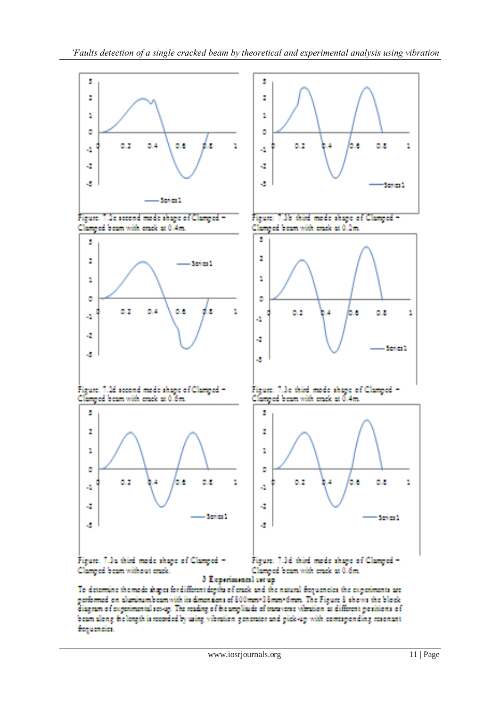

To determine the mode shapes for different depths of erack and the natural frequencies the experiments are performed on aluminumbeamwith its dimensions of 800mm×38mm×6mm. The Figure 8 shows the block diagram of experimental set-up. The reading of the amplitude of transverse vibration at different positions of beam along the length is recorded by using vibration generator and pick-up with concaponding resonant frequencies.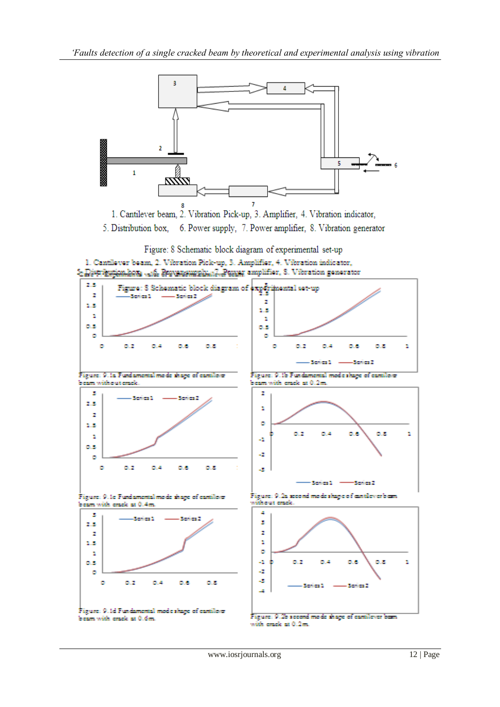

1. Cantilever beam, 2. Vibration Pick-up, 3. Amplifier, 4. Vibration indicator,

6. Power supply, 7. Power amplifier, 8. Vibration generator 5. Distribution box,

Figure: 8 Schematic block diagram of experimental set-up



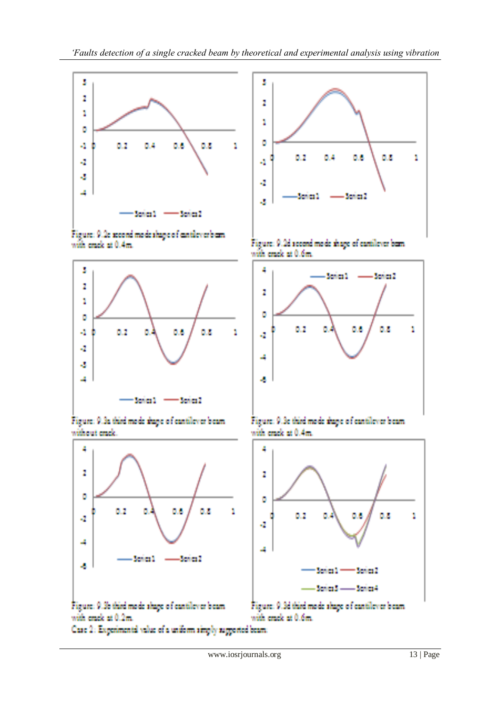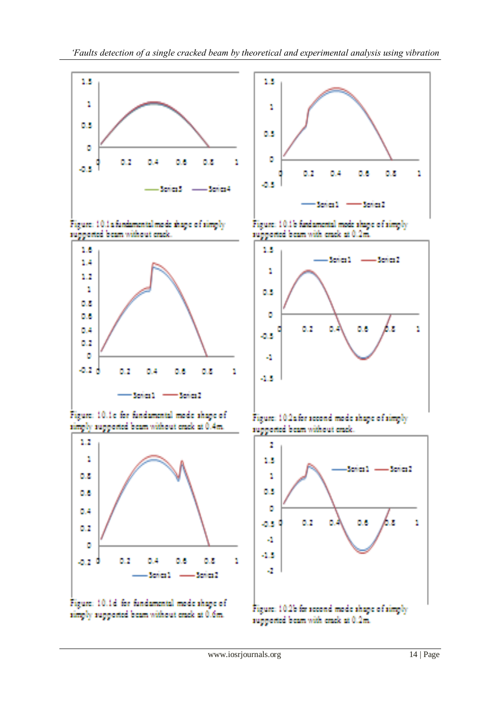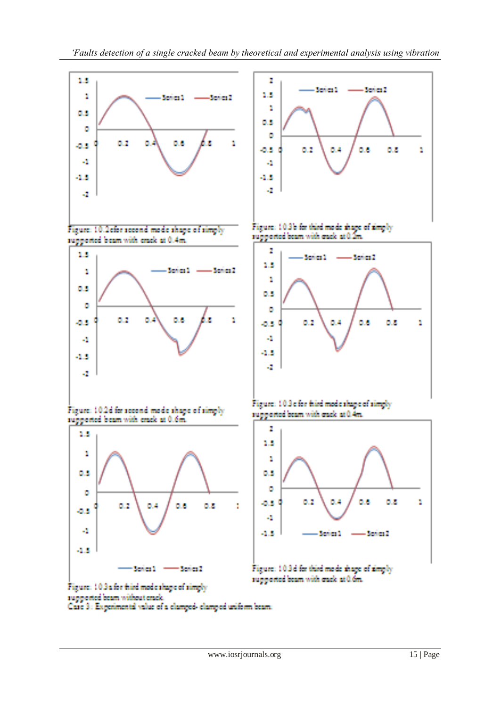

Figure: 103a for filed mode shape of simply

Case 3: Experimental value of a clamped-clamped uniform beam:

supported beam without eracle.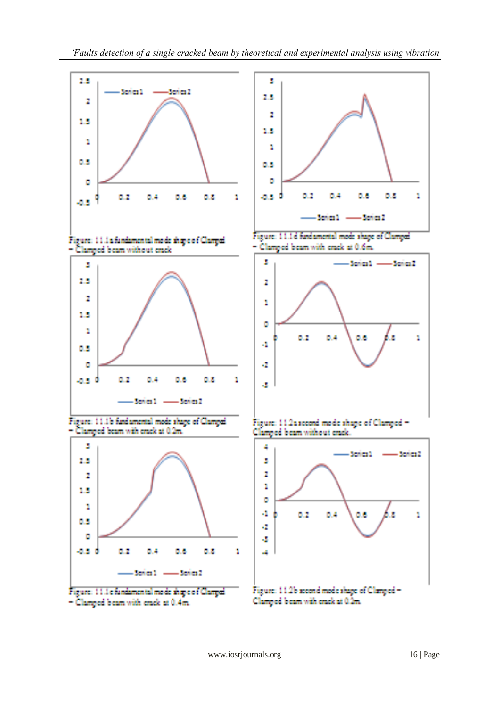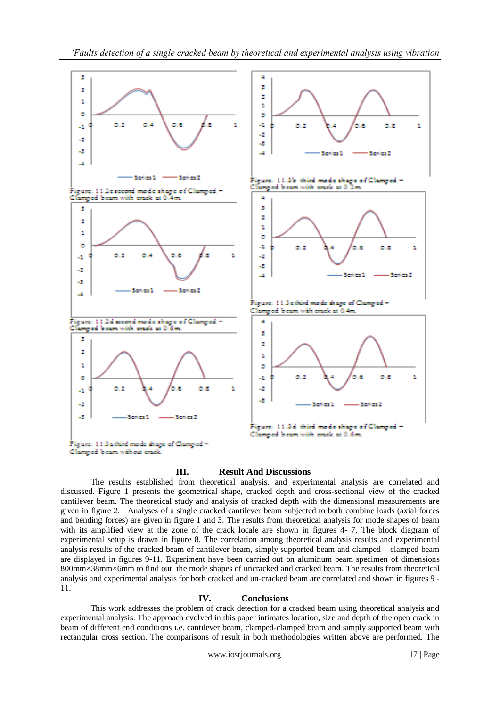

# **III. Result And Discussions**

The results established from theoretical analysis, and experimental analysis are correlated and discussed. Figure 1 presents the geometrical shape, cracked depth and cross-sectional view of the cracked cantilever beam. The theoretical study and analysis of cracked depth with the dimensional measurements are given in figure 2. Analyses of a single cracked cantilever beam subjected to both combine loads (axial forces and bending forces) are given in figure 1 and 3. The results from theoretical analysis for mode shapes of beam with its amplified view at the zone of the crack locale are shown in figures 4- 7. The block diagram of experimental setup is drawn in figure 8. The correlation among theoretical analysis results and experimental analysis results of the cracked beam of cantilever beam, simply supported beam and clamped – clamped beam are displayed in figures 9-11. Experiment have been carried out on aluminum beam specimen of dimensions 800mm×38mm×6mm to find out the mode shapes of uncracked and cracked beam. The results from theoretical analysis and experimental analysis for both cracked and un-cracked beam are correlated and shown in figures 9 - 11.

# **IV. Conclusions**

This work addresses the problem of crack detection for a cracked beam using theoretical analysis and experimental analysis. The approach evolved in this paper intimates location, size and depth of the open crack in beam of different end conditions i.e. cantilever beam, clamped-clamped beam and simply supported beam with rectangular cross section. The comparisons of result in both methodologies written above are performed. The